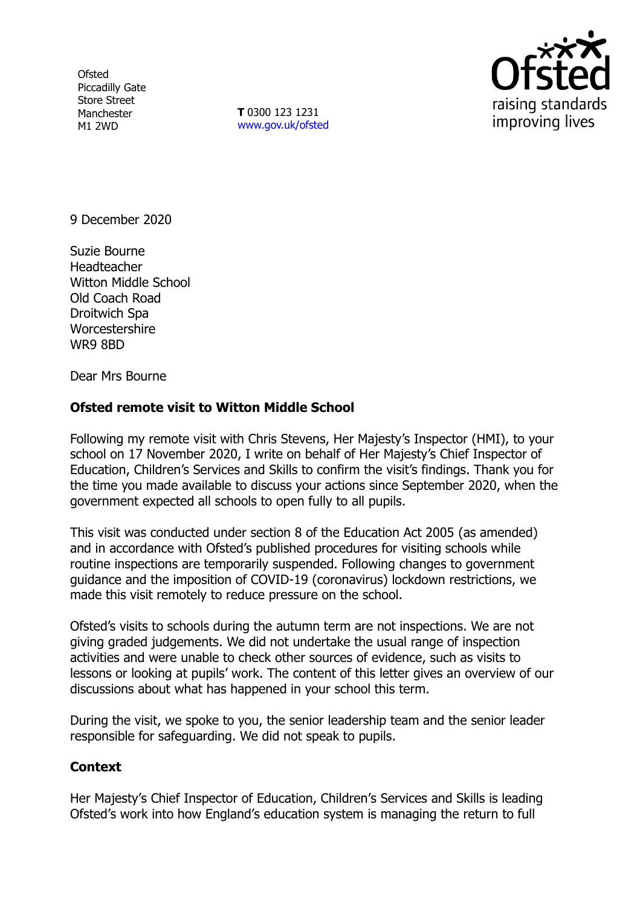**Ofsted** Piccadilly Gate Store Street Manchester M1 2WD

**T** 0300 123 1231 [www.gov.uk/ofsted](http://www.gov.uk/ofsted)



9 December 2020

Suzie Bourne **Headteacher** Witton Middle School Old Coach Road Droitwich Spa **Worcestershire** WR9 8BD

Dear Mrs Bourne

## **Ofsted remote visit to Witton Middle School**

Following my remote visit with Chris Stevens, Her Majesty's Inspector (HMI), to your school on 17 November 2020, I write on behalf of Her Majesty's Chief Inspector of Education, Children's Services and Skills to confirm the visit's findings. Thank you for the time you made available to discuss your actions since September 2020, when the government expected all schools to open fully to all pupils.

This visit was conducted under section 8 of the Education Act 2005 (as amended) and in accordance with Ofsted's published procedures for visiting schools while routine inspections are temporarily suspended. Following changes to government guidance and the imposition of COVID-19 (coronavirus) lockdown restrictions, we made this visit remotely to reduce pressure on the school.

Ofsted's visits to schools during the autumn term are not inspections. We are not giving graded judgements. We did not undertake the usual range of inspection activities and were unable to check other sources of evidence, such as visits to lessons or looking at pupils' work. The content of this letter gives an overview of our discussions about what has happened in your school this term.

During the visit, we spoke to you, the senior leadership team and the senior leader responsible for safeguarding. We did not speak to pupils.

## **Context**

Her Majesty's Chief Inspector of Education, Children's Services and Skills is leading Ofsted's work into how England's education system is managing the return to full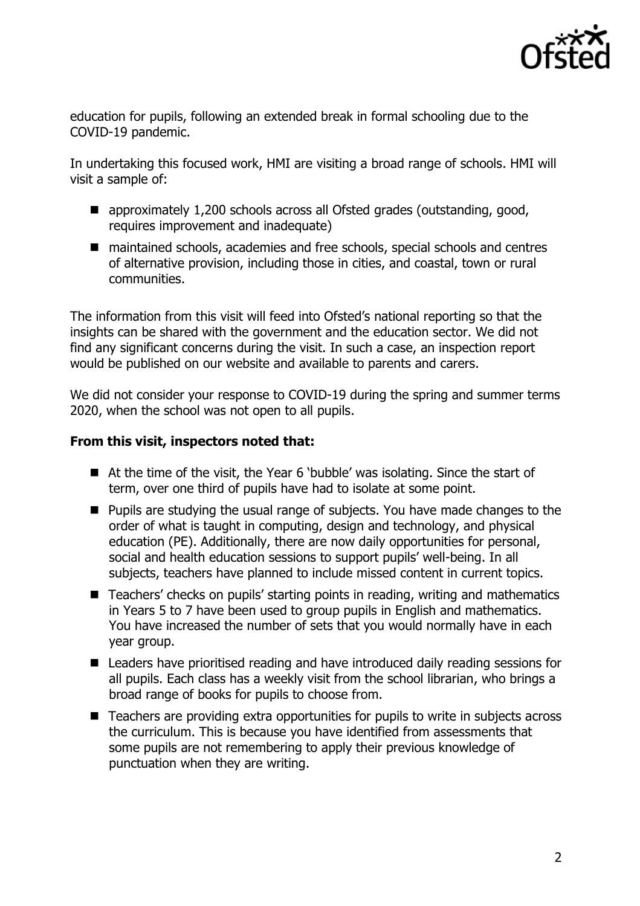

education for pupils, following an extended break in formal schooling due to the COVID-19 pandemic.

In undertaking this focused work, HMI are visiting a broad range of schools. HMI will visit a sample of:

- approximately 1,200 schools across all Ofsted grades (outstanding, good, requires improvement and inadequate)
- maintained schools, academies and free schools, special schools and centres of alternative provision, including those in cities, and coastal, town or rural communities.

The information from this visit will feed into Ofsted's national reporting so that the insights can be shared with the government and the education sector. We did not find any significant concerns during the visit. In such a case, an inspection report would be published on our website and available to parents and carers.

We did not consider your response to COVID-19 during the spring and summer terms 2020, when the school was not open to all pupils.

## **From this visit, inspectors noted that:**

- At the time of the visit, the Year 6 'bubble' was isolating. Since the start of term, over one third of pupils have had to isolate at some point.
- **Pupils are studying the usual range of subjects. You have made changes to the** order of what is taught in computing, design and technology, and physical education (PE). Additionally, there are now daily opportunities for personal, social and health education sessions to support pupils' well-being. In all subjects, teachers have planned to include missed content in current topics.
- Teachers' checks on pupils' starting points in reading, writing and mathematics in Years 5 to 7 have been used to group pupils in English and mathematics. You have increased the number of sets that you would normally have in each year group.
- Leaders have prioritised reading and have introduced daily reading sessions for all pupils. Each class has a weekly visit from the school librarian, who brings a broad range of books for pupils to choose from.
- Teachers are providing extra opportunities for pupils to write in subjects across the curriculum. This is because you have identified from assessments that some pupils are not remembering to apply their previous knowledge of punctuation when they are writing.